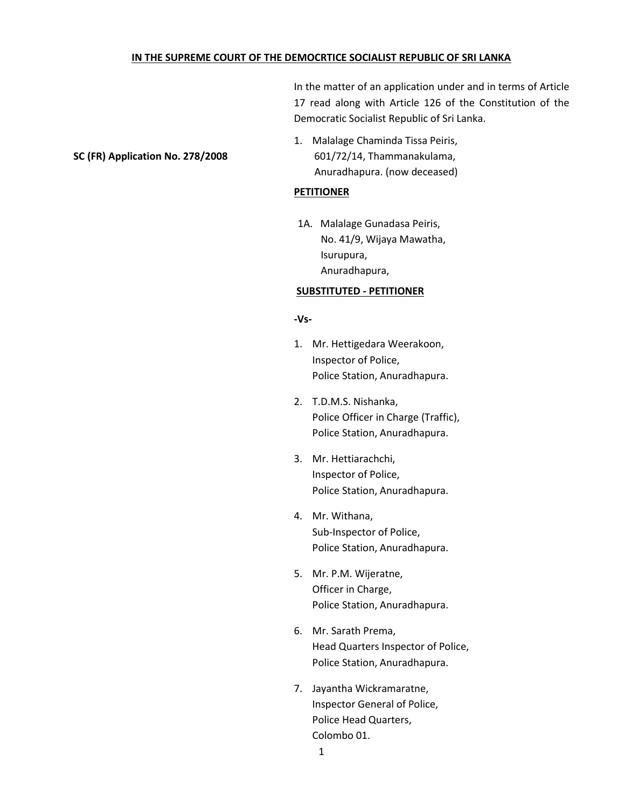## **IN THE SUPREME COURT OF THE DEMOCRTICE SOCIALIST REPUBLIC OF SRI LANKA**

In the matter of an application under and in terms of Article 17 read along with Article 126 of the Constitution of the Democratic Socialist Republic of Sri Lanka.

1. Malalage Chaminda Tissa Peiris, **SC (FR) Application No. 278/2008** 601/72/14, Thammanakulama, Anuradhapura. (now deceased)

## **PETITIONER**

1A. Malalage Gunadasa Peiris, No. 41/9, Wijaya Mawatha, Isurupura, Anuradhapura,

#### **SUBSTITUTED - PETITIONER**

## **-Vs-**

- 1. Mr. Hettigedara Weerakoon, Inspector of Police, Police Station, Anuradhapura.
- 2. T.D.M.S. Nishanka, Police Officer in Charge (Traffic), Police Station, Anuradhapura.
- 3. Mr. Hettiarachchi, Inspector of Police, Police Station, Anuradhapura.
- 4. Mr. Withana, Sub-Inspector of Police, Police Station, Anuradhapura.
- 5. Mr. P.M. Wijeratne, Officer in Charge, Police Station, Anuradhapura.
- 6. Mr. Sarath Prema, Head Quarters Inspector of Police, Police Station, Anuradhapura.
- 7. Jayantha Wickramaratne, Inspector General of Police, Police Head Quarters, Colombo 01.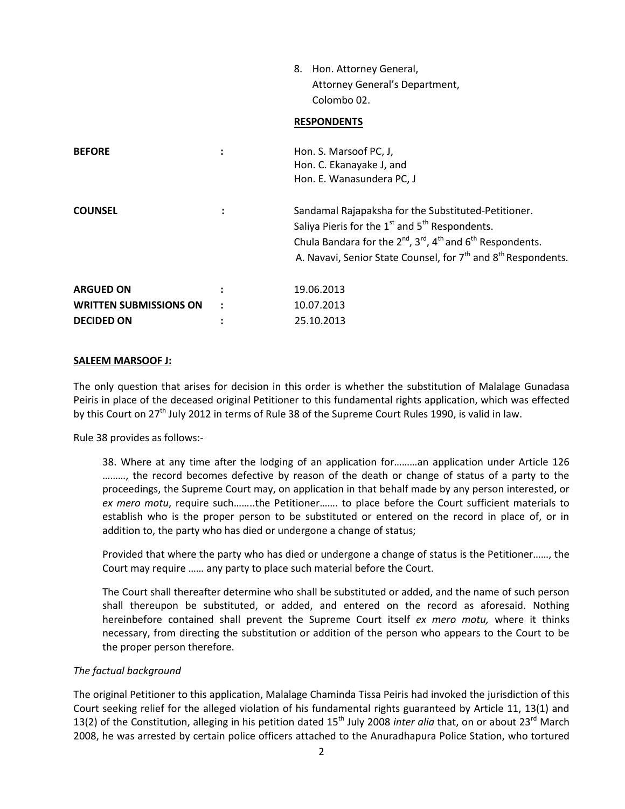|                               |                      | Hon. Attorney General,<br>8.<br>Attorney General's Department,<br>Colombo 02.<br><b>RESPONDENTS</b>                                                                                                                                                                                        |
|-------------------------------|----------------------|--------------------------------------------------------------------------------------------------------------------------------------------------------------------------------------------------------------------------------------------------------------------------------------------|
| <b>BEFORE</b>                 | :                    | Hon. S. Marsoof PC, J,<br>Hon. C. Ekanayake J, and<br>Hon. E. Wanasundera PC, J                                                                                                                                                                                                            |
| <b>COUNSEL</b>                |                      | Sandamal Rajapaksha for the Substituted-Petitioner.<br>Saliya Pieris for the $1^{st}$ and $5^{th}$ Respondents.<br>Chula Bandara for the $2^{nd}$ , $3^{rd}$ , $4^{th}$ and $6^{th}$ Respondents.<br>A. Navavi, Senior State Counsel, for 7 <sup>th</sup> and 8 <sup>th</sup> Respondents. |
| <b>ARGUED ON</b>              | ٠                    | 19.06.2013                                                                                                                                                                                                                                                                                 |
| <b>WRITTEN SUBMISSIONS ON</b> | $\ddot{\phantom{a}}$ | 10.07.2013                                                                                                                                                                                                                                                                                 |
| <b>DECIDED ON</b>             | ٠                    | 25.10.2013                                                                                                                                                                                                                                                                                 |

## **SALEEM MARSOOF J:**

The only question that arises for decision in this order is whether the substitution of Malalage Gunadasa Peiris in place of the deceased original Petitioner to this fundamental rights application, which was effected by this Court on 27<sup>th</sup> July 2012 in terms of Rule 38 of the Supreme Court Rules 1990, is valid in law.

Rule 38 provides as follows:-

38. Where at any time after the lodging of an application for………an application under Article 126 ........., the record becomes defective by reason of the death or change of status of a party to the proceedings, the Supreme Court may, on application in that behalf made by any person interested, or *ex mero motu*, require such……..the Petitioner……. to place before the Court sufficient materials to establish who is the proper person to be substituted or entered on the record in place of, or in addition to, the party who has died or undergone a change of status;

Provided that where the party who has died or undergone a change of status is the Petitioner……, the Court may require …… any party to place such material before the Court.

The Court shall thereafter determine who shall be substituted or added, and the name of such person shall thereupon be substituted, or added, and entered on the record as aforesaid. Nothing hereinbefore contained shall prevent the Supreme Court itself *ex mero motu,* where it thinks necessary, from directing the substitution or addition of the person who appears to the Court to be the proper person therefore.

## *The factual background*

The original Petitioner to this application, Malalage Chaminda Tissa Peiris had invoked the jurisdiction of this Court seeking relief for the alleged violation of his fundamental rights guaranteed by Article 11, 13(1) and 13(2) of the Constitution, alleging in his petition dated 15<sup>th</sup> July 2008 *inter alia* that, on or about 23<sup>rd</sup> March 2008, he was arrested by certain police officers attached to the Anuradhapura Police Station, who tortured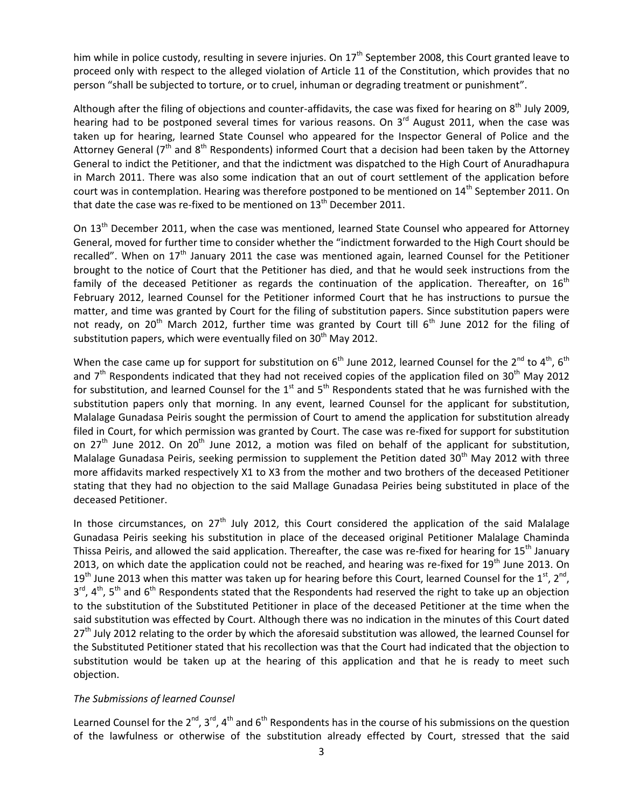him while in police custody, resulting in severe injuries. On  $17<sup>th</sup>$  September 2008, this Court granted leave to proceed only with respect to the alleged violation of Article 11 of the Constitution, which provides that no person "shall be subjected to torture, or to cruel, inhuman or degrading treatment or punishment".

Although after the filing of objections and counter-affidavits, the case was fixed for hearing on  $8^{th}$  July 2009, hearing had to be postponed several times for various reasons. On 3<sup>rd</sup> August 2011, when the case was taken up for hearing, learned State Counsel who appeared for the Inspector General of Police and the Attorney General (7<sup>th</sup> and 8<sup>th</sup> Respondents) informed Court that a decision had been taken by the Attorney General to indict the Petitioner, and that the indictment was dispatched to the High Court of Anuradhapura in March 2011. There was also some indication that an out of court settlement of the application before court was in contemplation. Hearing was therefore postponed to be mentioned on 14<sup>th</sup> September 2011. On that date the case was re-fixed to be mentioned on  $13<sup>th</sup>$  December 2011.

On 13<sup>th</sup> December 2011, when the case was mentioned, learned State Counsel who appeared for Attorney General, moved for further time to consider whether the "indictment forwarded to the High Court should be recalled". When on 17<sup>th</sup> January 2011 the case was mentioned again, learned Counsel for the Petitioner brought to the notice of Court that the Petitioner has died, and that he would seek instructions from the family of the deceased Petitioner as regards the continuation of the application. Thereafter, on  $16<sup>th</sup>$ February 2012, learned Counsel for the Petitioner informed Court that he has instructions to pursue the matter, and time was granted by Court for the filing of substitution papers. Since substitution papers were not ready, on 20<sup>th</sup> March 2012, further time was granted by Court till  $6^{th}$  June 2012 for the filing of substitution papers, which were eventually filed on  $30<sup>th</sup>$  May 2012.

When the case came up for support for substitution on  $6<sup>th</sup>$  June 2012, learned Counsel for the 2<sup>nd</sup> to 4<sup>th</sup>, 6<sup>th</sup> and  $7<sup>th</sup>$  Respondents indicated that they had not received copies of the application filed on 30<sup>th</sup> May 2012 for substitution, and learned Counsel for the  $1<sup>st</sup>$  and  $5<sup>th</sup>$  Respondents stated that he was furnished with the substitution papers only that morning. In any event, learned Counsel for the applicant for substitution, Malalage Gunadasa Peiris sought the permission of Court to amend the application for substitution already filed in Court, for which permission was granted by Court. The case was re-fixed for support for substitution on 27<sup>th</sup> June 2012. On 20<sup>th</sup> June 2012, a motion was filed on behalf of the applicant for substitution, Malalage Gunadasa Peiris, seeking permission to supplement the Petition dated  $30<sup>th</sup>$  May 2012 with three more affidavits marked respectively X1 to X3 from the mother and two brothers of the deceased Petitioner stating that they had no objection to the said Mallage Gunadasa Peiries being substituted in place of the deceased Petitioner.

In those circumstances, on  $27<sup>th</sup>$  July 2012, this Court considered the application of the said Malalage Gunadasa Peiris seeking his substitution in place of the deceased original Petitioner Malalage Chaminda Thissa Peiris, and allowed the said application. Thereafter, the case was re-fixed for hearing for 15<sup>th</sup> January 2013, on which date the application could not be reached, and hearing was re-fixed for  $19<sup>th</sup>$  June 2013. On 19<sup>th</sup> June 2013 when this matter was taken up for hearing before this Court, learned Counsel for the 1<sup>st</sup>, 2<sup>nd</sup>, 3<sup>rd</sup>, 4<sup>th</sup>, 5<sup>th</sup> and 6<sup>th</sup> Respondents stated that the Respondents had reserved the right to take up an objection to the substitution of the Substituted Petitioner in place of the deceased Petitioner at the time when the said substitution was effected by Court. Although there was no indication in the minutes of this Court dated 27<sup>th</sup> July 2012 relating to the order by which the aforesaid substitution was allowed, the learned Counsel for the Substituted Petitioner stated that his recollection was that the Court had indicated that the objection to substitution would be taken up at the hearing of this application and that he is ready to meet such objection.

## *The Submissions of learned Counsel*

Learned Counsel for the  $2^{nd}$ ,  $3^{rd}$ ,  $4^{th}$  and  $6^{th}$  Respondents has in the course of his submissions on the question of the lawfulness or otherwise of the substitution already effected by Court, stressed that the said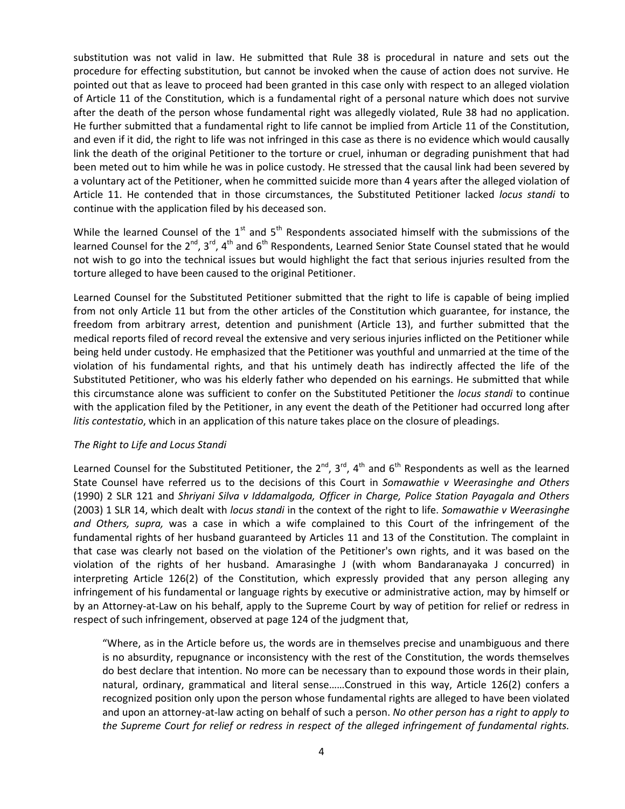substitution was not valid in law. He submitted that Rule 38 is procedural in nature and sets out the procedure for effecting substitution, but cannot be invoked when the cause of action does not survive. He pointed out that as leave to proceed had been granted in this case only with respect to an alleged violation of Article 11 of the Constitution, which is a fundamental right of a personal nature which does not survive after the death of the person whose fundamental right was allegedly violated, Rule 38 had no application. He further submitted that a fundamental right to life cannot be implied from Article 11 of the Constitution, and even if it did, the right to life was not infringed in this case as there is no evidence which would causally link the death of the original Petitioner to the torture or cruel, inhuman or degrading punishment that had been meted out to him while he was in police custody. He stressed that the causal link had been severed by a voluntary act of the Petitioner, when he committed suicide more than 4 years after the alleged violation of Article 11. He contended that in those circumstances, the Substituted Petitioner lacked *locus standi* to continue with the application filed by his deceased son.

While the learned Counsel of the  $1<sup>st</sup>$  and  $5<sup>th</sup>$  Respondents associated himself with the submissions of the learned Counsel for the 2<sup>nd</sup>, 3<sup>rd</sup>, 4<sup>th</sup> and 6<sup>th</sup> Respondents, Learned Senior State Counsel stated that he would not wish to go into the technical issues but would highlight the fact that serious injuries resulted from the torture alleged to have been caused to the original Petitioner.

Learned Counsel for the Substituted Petitioner submitted that the right to life is capable of being implied from not only Article 11 but from the other articles of the Constitution which guarantee, for instance, the freedom from arbitrary arrest, detention and punishment (Article 13), and further submitted that the medical reports filed of record reveal the extensive and very serious injuries inflicted on the Petitioner while being held under custody. He emphasized that the Petitioner was youthful and unmarried at the time of the violation of his fundamental rights, and that his untimely death has indirectly affected the life of the Substituted Petitioner, who was his elderly father who depended on his earnings. He submitted that while this circumstance alone was sufficient to confer on the Substituted Petitioner the *locus standi* to continue with the application filed by the Petitioner, in any event the death of the Petitioner had occurred long after *litis contestatio*, which in an application of this nature takes place on the closure of pleadings.

## *The Right to Life and Locus Standi*

Learned Counsel for the Substituted Petitioner, the  $2^{nd}$ ,  $3^{rd}$ ,  $4^{th}$  and  $6^{th}$  Respondents as well as the learned State Counsel have referred us to the decisions of this Court in *Somawathie v Weerasinghe and Others* (1990) 2 SLR 121 and *Shriyani Silva v Iddamalgoda, Officer in Charge, Police Station Payagala and Others* (2003) 1 SLR 14, which dealt with *locus standi* in the context of the right to life. *Somawathie v Weerasinghe and Others, supra,* was a case in which a wife complained to this Court of the infringement of the fundamental rights of her husband guaranteed by Articles 11 and 13 of the Constitution. The complaint in that case was clearly not based on the violation of the Petitioner's own rights, and it was based on the violation of the rights of her husband. Amarasinghe J (with whom Bandaranayaka J concurred) in interpreting Article 126(2) of the Constitution, which expressly provided that any person alleging any infringement of his fundamental or language rights by executive or administrative action, may by himself or by an Attorney-at-Law on his behalf, apply to the Supreme Court by way of petition for relief or redress in respect of such infringement, observed at page 124 of the judgment that,

"Where, as in the Article before us, the words are in themselves precise and unambiguous and there is no absurdity, repugnance or inconsistency with the rest of the Constitution, the words themselves do best declare that intention. No more can be necessary than to expound those words in their plain, natural, ordinary, grammatical and literal sense……Construed in this way, Article 126(2) confers a recognized position only upon the person whose fundamental rights are alleged to have been violated and upon an attorney-at-law acting on behalf of such a person. *No other person has a right to apply to the Supreme Court for relief or redress in respect of the alleged infringement of fundamental rights.*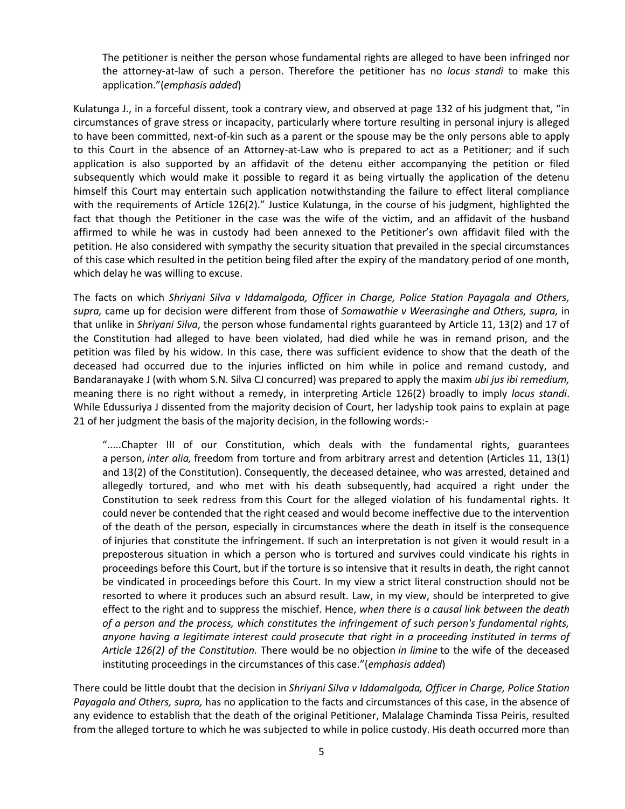The petitioner is neither the person whose fundamental rights are alleged to have been infringed nor the attorney-at-law of such a person. Therefore the petitioner has no *locus standi* to make this application."(*emphasis added*)

Kulatunga J., in a forceful dissent, took a contrary view, and observed at page 132 of his judgment that, "in circumstances of grave stress or incapacity, particularly where torture resulting in personal injury is alleged to have been committed, next-of-kin such as a parent or the spouse may be the only persons able to apply to this Court in the absence of an Attorney-at-Law who is prepared to act as a Petitioner; and if such application is also supported by an affidavit of the detenu either accompanying the petition or filed subsequently which would make it possible to regard it as being virtually the application of the detenu himself this Court may entertain such application notwithstanding the failure to effect literal compliance with the requirements of Article 126(2)." Justice Kulatunga, in the course of his judgment, highlighted the fact that though the Petitioner in the case was the wife of the victim, and an affidavit of the husband affirmed to while he was in custody had been annexed to the Petitioner's own affidavit filed with the petition. He also considered with sympathy the security situation that prevailed in the special circumstances of this case which resulted in the petition being filed after the expiry of the mandatory period of one month, which delay he was willing to excuse.

The facts on which *Shriyani Silva v Iddamalgoda, Officer in Charge, Police Station Payagala and Others, supra,* came up for decision were different from those of *Somawathie v Weerasinghe and Others, supra,* in that unlike in *Shriyani Silva*, the person whose fundamental rights guaranteed by Article 11, 13(2) and 17 of the Constitution had alleged to have been violated, had died while he was in remand prison, and the petition was filed by his widow. In this case, there was sufficient evidence to show that the death of the deceased had occurred due to the injuries inflicted on him while in police and remand custody, and Bandaranayake J (with whom S.N. Silva CJ concurred) was prepared to apply the maxim *ubi jus ibi remedium,* meaning there is no right without a remedy, in interpreting Article 126(2) broadly to imply *locus standi*. While Edussuriya J dissented from the majority decision of Court, her ladyship took pains to explain at page 21 of her judgment the basis of the majority decision, in the following words:-

".....Chapter III of our Constitution, which deals with the fundamental rights, guarantees a person, *inter alia,* freedom from torture and from arbitrary arrest and detention (Articles 11, 13(1) and 13(2) of the Constitution). Consequently, the deceased detainee, who was arrested, detained and allegedly tortured, and who met with his death subsequently, had acquired a right under the Constitution to seek redress from this Court for the alleged violation of his fundamental rights. It could never be contended that the right ceased and would become ineffective due to the intervention of the death of the person, especially in circumstances where the death in itself is the consequence of injuries that constitute the infringement. If such an interpretation is not given it would result in a preposterous situation in which a person who is tortured and survives could vindicate his rights in proceedings before this Court, but if the torture is so intensive that it results in death, the right cannot be vindicated in proceedings before this Court. In my view a strict literal construction should not be resorted to where it produces such an absurd result. Law, in my view, should be interpreted to give effect to the right and to suppress the mischief. Hence, *when there is a causal link between the death of a person and the process, which constitutes the infringement of such person's fundamental rights, anyone having a legitimate interest could prosecute that right in a proceeding instituted in terms of Article 126(2) of the Constitution.* There would be no objection *in limine* to the wife of the deceased instituting proceedings in the circumstances of this case."(*emphasis added*)

There could be little doubt that the decision in *Shriyani Silva v Iddamalgoda, Officer in Charge, Police Station Payagala and Others, supra,* has no application to the facts and circumstances of this case, in the absence of any evidence to establish that the death of the original Petitioner, Malalage Chaminda Tissa Peiris, resulted from the alleged torture to which he was subjected to while in police custody. His death occurred more than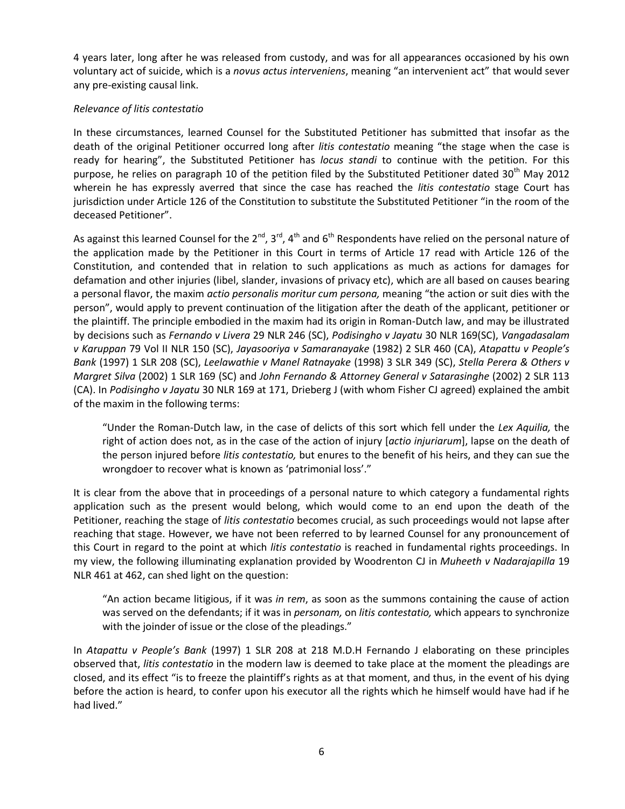4 years later, long after he was released from custody, and was for all appearances occasioned by his own voluntary act of suicide, which is a *novus actus interveniens*, meaning "an intervenient act" that would sever any pre-existing causal link.

# *Relevance of litis contestatio*

In these circumstances, learned Counsel for the Substituted Petitioner has submitted that insofar as the death of the original Petitioner occurred long after *litis contestatio* meaning "the stage when the case is ready for hearing", the Substituted Petitioner has *locus standi* to continue with the petition. For this purpose, he relies on paragraph 10 of the petition filed by the Substituted Petitioner dated 30<sup>th</sup> May 2012 wherein he has expressly averred that since the case has reached the *litis contestatio* stage Court has jurisdiction under Article 126 of the Constitution to substitute the Substituted Petitioner "in the room of the deceased Petitioner".

As against this learned Counsel for the  $2^{nd}$ ,  $3^{rd}$ ,  $4^{th}$  and  $6^{th}$  Respondents have relied on the personal nature of the application made by the Petitioner in this Court in terms of Article 17 read with Article 126 of the Constitution, and contended that in relation to such applications as much as actions for damages for defamation and other injuries (libel, slander, invasions of privacy etc), which are all based on causes bearing a personal flavor, the maxim *actio personalis moritur cum persona,* meaning "the action or suit dies with the person", would apply to prevent continuation of the litigation after the death of the applicant, petitioner or the plaintiff. The principle embodied in the maxim had its origin in Roman-Dutch law, and may be illustrated by decisions such as *Fernando v Livera* 29 NLR 246 (SC), *Podisingho v Jayatu* 30 NLR 169(SC), *Vangadasalam v Karuppan* 79 Vol II NLR 150 (SC), *Jayasooriya v Samaranayake* (1982) 2 SLR 460 (CA), *Atapattu v People's Bank* (1997) 1 SLR 208 (SC), *Leelawathie v Manel Ratnayake* (1998) 3 SLR 349 (SC), *Stella Perera & Others v Margret Silva* (2002) 1 SLR 169 (SC) and *John Fernando & Attorney General v Satarasinghe* (2002) 2 SLR 113 (CA). In *Podisingho v Jayatu* 30 NLR 169 at 171, Drieberg J (with whom Fisher CJ agreed) explained the ambit of the maxim in the following terms:

"Under the Roman-Dutch law, in the case of delicts of this sort which fell under the *Lex Aquilia,* the right of action does not, as in the case of the action of injury [*actio injuriarum*], lapse on the death of the person injured before *litis contestatio,* but enures to the benefit of his heirs, and they can sue the wrongdoer to recover what is known as 'patrimonial loss'."

It is clear from the above that in proceedings of a personal nature to which category a fundamental rights application such as the present would belong, which would come to an end upon the death of the Petitioner, reaching the stage of *litis contestatio* becomes crucial, as such proceedings would not lapse after reaching that stage. However, we have not been referred to by learned Counsel for any pronouncement of this Court in regard to the point at which *litis contestatio* is reached in fundamental rights proceedings. In my view, the following illuminating explanation provided by Woodrenton CJ in *Muheeth v Nadarajapilla* 19 NLR 461 at 462, can shed light on the question:

"An action became litigious, if it was *in* r*em*, as soon as the summons containing the cause of action was served on the defendants; if it was in *personam,* on *litis contestatio,* which appears to synchronize with the joinder of issue or the close of the pleadings."

In *Atapattu v People's Bank* (1997) 1 SLR 208 at 218 M.D.H Fernando J elaborating on these principles observed that, *litis contestatio* in the modern law is deemed to take place at the moment the pleadings are closed, and its effect "is to freeze the plaintiff's rights as at that moment, and thus, in the event of his dying before the action is heard, to confer upon his executor all the rights which he himself would have had if he had lived."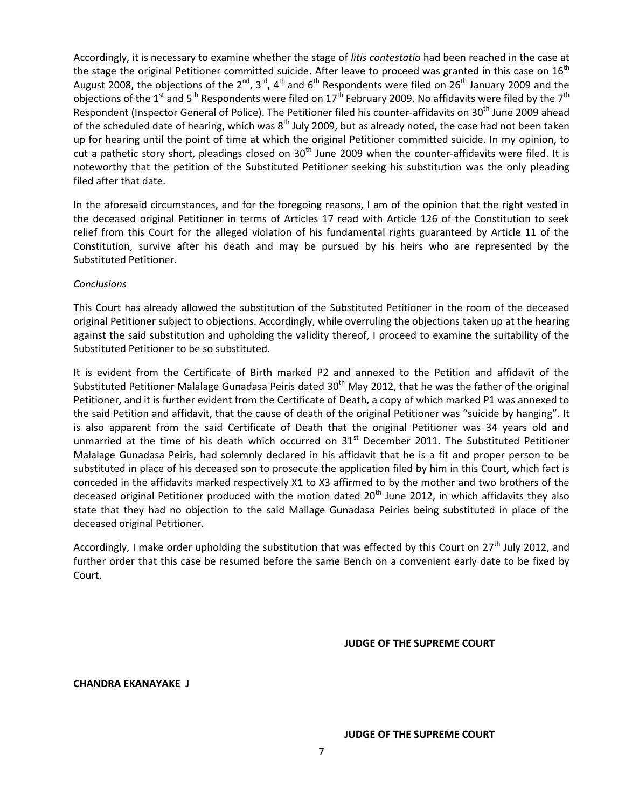Accordingly, it is necessary to examine whether the stage of *litis contestatio* had been reached in the case at the stage the original Petitioner committed suicide. After leave to proceed was granted in this case on  $16<sup>th</sup>$ August 2008, the objections of the 2<sup>nd</sup>, 3<sup>rd</sup>, 4<sup>th</sup> and 6<sup>th</sup> Respondents were filed on 26<sup>th</sup> January 2009 and the objections of the 1<sup>st</sup> and 5<sup>th</sup> Respondents were filed on 17<sup>th</sup> February 2009. No affidavits were filed by the 7<sup>th</sup> Respondent (Inspector General of Police). The Petitioner filed his counter-affidavits on 30<sup>th</sup> June 2009 ahead of the scheduled date of hearing, which was  $8<sup>th</sup>$  July 2009, but as already noted, the case had not been taken up for hearing until the point of time at which the original Petitioner committed suicide. In my opinion, to cut a pathetic story short, pleadings closed on 30<sup>th</sup> June 2009 when the counter-affidavits were filed. It is noteworthy that the petition of the Substituted Petitioner seeking his substitution was the only pleading filed after that date.

In the aforesaid circumstances, and for the foregoing reasons, I am of the opinion that the right vested in the deceased original Petitioner in terms of Articles 17 read with Article 126 of the Constitution to seek relief from this Court for the alleged violation of his fundamental rights guaranteed by Article 11 of the Constitution, survive after his death and may be pursued by his heirs who are represented by the Substituted Petitioner.

## *Conclusions*

This Court has already allowed the substitution of the Substituted Petitioner in the room of the deceased original Petitioner subject to objections. Accordingly, while overruling the objections taken up at the hearing against the said substitution and upholding the validity thereof, I proceed to examine the suitability of the Substituted Petitioner to be so substituted.

It is evident from the Certificate of Birth marked P2 and annexed to the Petition and affidavit of the Substituted Petitioner Malalage Gunadasa Peiris dated 30<sup>th</sup> May 2012, that he was the father of the original Petitioner, and it is further evident from the Certificate of Death, a copy of which marked P1 was annexed to the said Petition and affidavit, that the cause of death of the original Petitioner was "suicide by hanging". It is also apparent from the said Certificate of Death that the original Petitioner was 34 years old and unmarried at the time of his death which occurred on 31<sup>st</sup> December 2011. The Substituted Petitioner Malalage Gunadasa Peiris, had solemnly declared in his affidavit that he is a fit and proper person to be substituted in place of his deceased son to prosecute the application filed by him in this Court, which fact is conceded in the affidavits marked respectively X1 to X3 affirmed to by the mother and two brothers of the deceased original Petitioner produced with the motion dated  $20<sup>th</sup>$  June 2012, in which affidavits they also state that they had no objection to the said Mallage Gunadasa Peiries being substituted in place of the deceased original Petitioner.

Accordingly, I make order upholding the substitution that was effected by this Court on  $27<sup>th</sup>$  July 2012, and further order that this case be resumed before the same Bench on a convenient early date to be fixed by Court.

**JUDGE OF THE SUPREME COURT**

## **CHANDRA EKANAYAKE J**

#### **JUDGE OF THE SUPREME COURT**